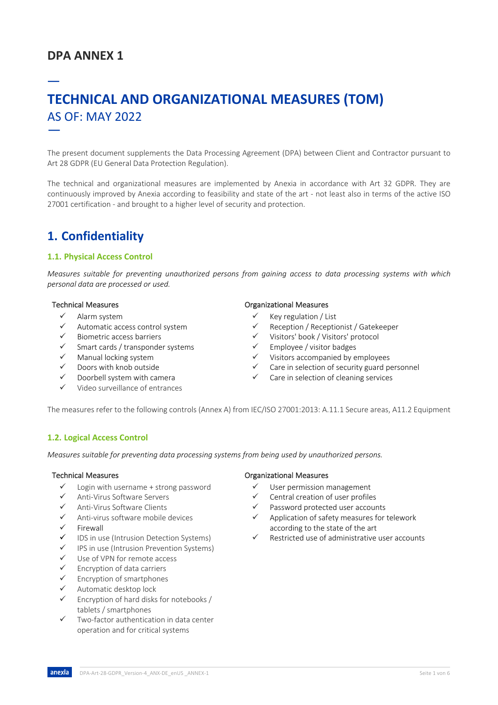# **DPA ANNEX 1**

# — **TECHNICAL AND ORGANIZATIONAL MEASURES (TOM)** AS OF: MAY 2022 —

The present document supplements the Data Processing Agreement (DPA) between Client and Contractor pursuant to Art 28 GDPR (EU General Data Protection Regulation).

The technical and organizational measures are implemented by Anexia in accordance with Art 32 GDPR. They are continuously improved by Anexia according to feasibility and state of the art - not least also in terms of the active ISO 27001 certification - and brought to a higher level of security and protection.

# **1. Confidentiality**

## **1.1. Physical Access Control**

*Measures suitable for preventing unauthorized persons from gaining access to data processing systems with which personal data are processed or used.* 

- $\checkmark$  Alarm system
- ü Automatic access control system
- ü Biometric access barriers
- Smart cards / transponder systems
- Manual locking system
- Doors with knob outside
- Doorbell system with camera
- Video surveillance of entrances

### Technical Measures **Technical Measures Organizational Measures**

- $\checkmark$  Key regulation / List
- ü Reception / Receptionist / Gatekeeper
- ü Visitors' book / Visitors' protocol
- Employee / visitor badges
- Visitors accompanied by employees
- Care in selection of security guard personnel
- $\checkmark$  Care in selection of cleaning services

The measures refer to the following controls (Annex A) from IEC/ISO 27001:2013: A.11.1 Secure areas, A11.2 Equipment

### **1.2. Logical Access Control**

*Measures suitable for preventing data processing systems from being used by unauthorized persons.*

- $\checkmark$  Login with username + strong password
- ü Anti-Virus Software Servers
- Anti-Virus Software Clients
- ü Anti-virus software mobile devices
- **Firewall**
- $\checkmark$  IDS in use (Intrusion Detection Systems)
- IPS in use (Intrusion Prevention Systems)
- $\checkmark$  Use of VPN for remote access
- $\checkmark$  Encryption of data carriers
- Encryption of smartphones
- Automatic desktop lock
- Encryption of hard disks for notebooks / tablets / smartphones
- $\checkmark$  Two-factor authentication in data center operation and for critical systems

### Technical Measures **Technical Measures Constanting Constanting Constanting Constanting Constanting Constanting Constanting Constanting Constanting Constanting Constanting Constanting Constanting Constanting Constanting C**

- $\checkmark$  User permission management
- Central creation of user profiles
- Password protected user accounts
- Application of safety measures for telework according to the state of the art
- Restricted use of administrative user accounts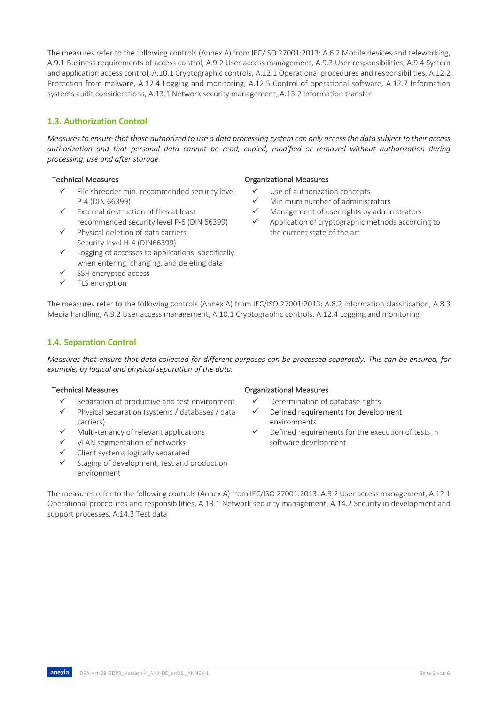The measures refer to the following controls (Annex A) from IEC/ISO 27001:2013: A.6.2 Mobile devices and teleworking, A.9.1 Business requirements of access control, A.9.2 User access management, A.9.3 User responsibilities, A.9.4 System and application access control, A.10.1 Cryptographic controls, A.12.1 Operational procedures and responsibilities, A.12.2 Protection from malware, A.12.4 Logging and monitoring, A.12.5 Control of operational software, A.12.7 Information systems audit considerations, A.13.1 Network security management, A.13.2 Information transfer

# **1.3. Authorization Control**

*Measures to ensure that those authorized to use a data processing system can only access the data subject to their access authorization and that personal data cannot be read, copied, modified or removed without authorization during processing, use and after storage.*

- File shredder min. recommended security level P-4 (DIN 66399)
- $\checkmark$  External destruction of files at least recommended security level P-6 (DIN 66399)
- Physical deletion of data carriers Security level H-4 (DIN66399)
- $\checkmark$  Logging of accesses to applications, specifically when entering, changing, and deleting data
- SSH encrypted access
- $\checkmark$  TLS encryption

## Technical Measures **Technical Measures Technical Measures**

- $\checkmark$  Use of authorization concepts
- $\checkmark$  Minimum number of administrators
- Management of user rights by administrators
- Application of cryptographic methods according to the current state of the art

The measures refer to the following controls (Annex A) from IEC/ISO 27001:2013: A.8.2 Information classification, A.8.3 Media handling, A.9.2 User access management, A.10.1 Cryptographic controls, A.12.4 Logging and monitoring

# **1.4. Separation Control**

*Measures that ensure that data collected for different purposes can be processed separately. This can be ensured, for example, by logical and physical separation of the data.*

anexia

- Separation of productive and test environment
- Physical separation (systems / databases / data carriers)
- Multi-tenancy of relevant applications
- VLAN segmentation of networks
- Client systems logically separated
- Staging of development, test and production environment

### Technical Measures **Technical Measures Technical Measures**

- $\checkmark$  Determination of database rights
- Defined requirements for development environments
- Defined requirements for the execution of tests in software development

The measures refer to the following controls (Annex A) from IEC/ISO 27001:2013: A.9.2 User access management, A.12.1 Operational procedures and responsibilities, A.13.1 Network security management, A.14.2 Security in development and support processes, A.14.3 Test data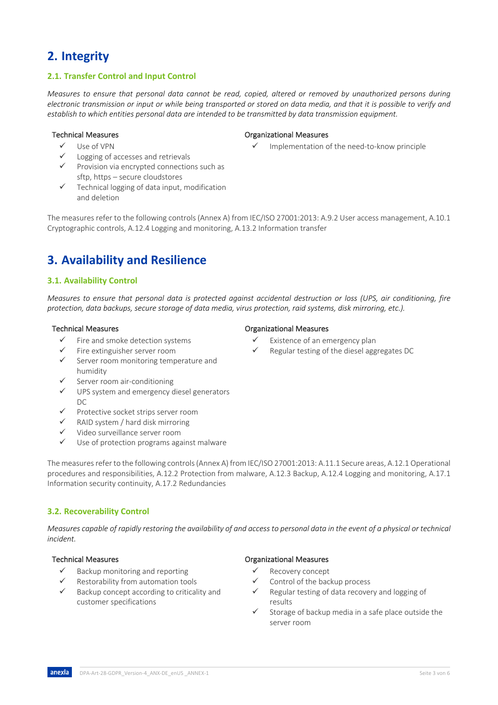# **2. Integrity**

## **2.1. Transfer Control and Input Control**

*Measures to ensure that personal data cannot be read, copied, altered or removed by unauthorized persons during electronic transmission or input or while being transported or stored on data media, and that it is possible to verify and establish to which entities personal data are intended to be transmitted by data transmission equipment.*

ü Use of VPN

## Logging of accesses and retrievals

- $\checkmark$  Provision via encrypted connections such as sftp, https – secure cloudstores
- $\checkmark$  Technical logging of data input, modification and deletion

The measures refer to the following controls (Annex A) from IEC/ISO 27001:2013: A.9.2 User access management, A.10.1 Cryptographic controls, A.12.4 Logging and monitoring, A.13.2 Information transfer

# **3. Availability and Resilience**

## **3.1. Availability Control**

*Measures to ensure that personal data is protected against accidental destruction or loss (UPS, air conditioning, fire protection, data backups, secure storage of data media, virus protection, raid systems, disk mirroring, etc.).*

- Fire and smoke detection systems
- ü Fire extinguisher server room
- Server room monitoring temperature and humidity
- Server room air-conditioning
- $\checkmark$  UPS system and emergency diesel generators  $DC$
- $\checkmark$  Protective socket strips server room
- $\checkmark$  RAID system / hard disk mirroring
- ü Video surveillance server room
- $\checkmark$  Use of protection programs against malware

The measures refer to the following controls (Annex A) from IEC/ISO 27001:2013: A.11.1 Secure areas, A.12.1 Operational procedures and responsibilities, A.12.2 Protection from malware, A.12.3 Backup, A.12.4 Logging and monitoring, A.17.1 Information security continuity, A.17.2 Redundancies

## **3.2. Recoverability Control**

*Measures capable of rapidly restoring the availability of and access to personal data in the event of a physical or technical incident.*

- Backup monitoring and reporting
- Restorability from automation tools
- Backup concept according to criticality and customer specifications

## Technical Measures **Technical Measures Constanting Constanting Constanting Constanting Constanting Constanting Constanting Constanting Constanting Constanting Constanting Constanting Constanting Constanting Constanting C**

Implementation of the need-to-know principle

- Technical Measures **Technical Measures Technical Measures** 
	- Existence of an emergency plan
	- Regular testing of the diesel aggregates DC

### Technical Measures Organizational Measures

- Recovery concept
- Control of the backup process
- Regular testing of data recovery and logging of results
- Storage of backup media in a safe place outside the server room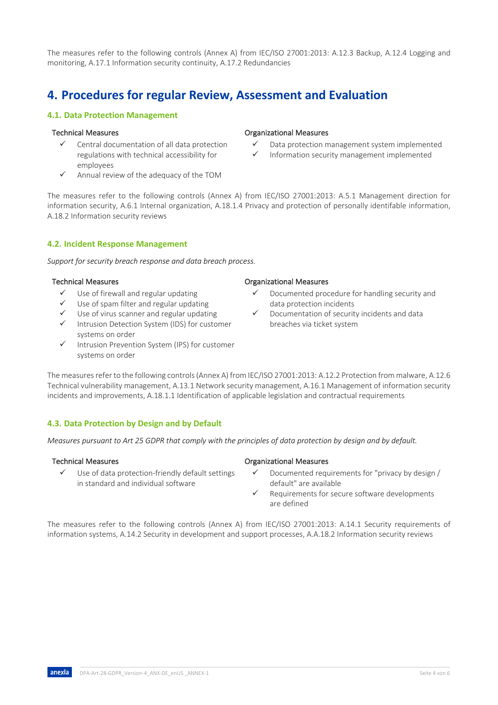The measures refer to the following controls (Annex A) from IEC/ISO 27001:2013: A.12.3 Backup, A.12.4 Logging and monitoring, A.17.1 Information security continuity, A.17.2 Redundancies

# **4. Procedures for regular Review, Assessment and Evaluation**

# **4.1. Data Protection Management**

## Technical Measures **Technical Measures Constanting Measures** Organizational Measures

- Central documentation of all data protection regulations with technical accessibility for employees
- Annual review of the adequacy of the TOM

The measures refer to the following controls (Annex A) from IEC/ISO 27001:2013: A.5.1 Management direction for information security, A.6.1 Internal organization, A.18.1.4 Privacy and protection of personally identifable information, A.18.2 Information security reviews

# **4.2. Incident Response Management**

*Support for security breach response and data breach process.*

## Technical Measures Organizational Measures

- Use of firewall and regular updating
- Use of spam filter and regular updating
- Use of virus scanner and regular updating
- Intrusion Detection System (IDS) for customer systems on order
- $\checkmark$  Intrusion Prevention System (IPS) for customer systems on order

## The measures refer to the following controls (Annex A) from IEC/ISO 27001:2013: A.12.2 Protection from malware, A.12.6 Technical vulnerability management, A.13.1 Network security management, A.16.1 Management of information security incidents and improvements, A.18.1.1 Identification of applicable legislation and contractual requirements

# **4.3. Data Protection by Design and by Default**

*Measures pursuant to Art 25 GDPR that comply with the principles of data protection by design and by default.*

Use of data protection-friendly default settings in standard and individual software

## Technical Measures **Technical Measures Organizational Measures**

- Documented requirements for "privacy by design / default" are available
- Requirements for secure software developments are defined

The measures refer to the following controls (Annex A) from IEC/ISO 27001:2013: A.14.1 Security requirements of information systems, A.14.2 Security in development and support processes, A.A.18.2 Information security reviews

Documented procedure for handling security and data protection incidents

Data protection management system implemented Information security management implemented

Documentation of security incidents and data breaches via ticket system

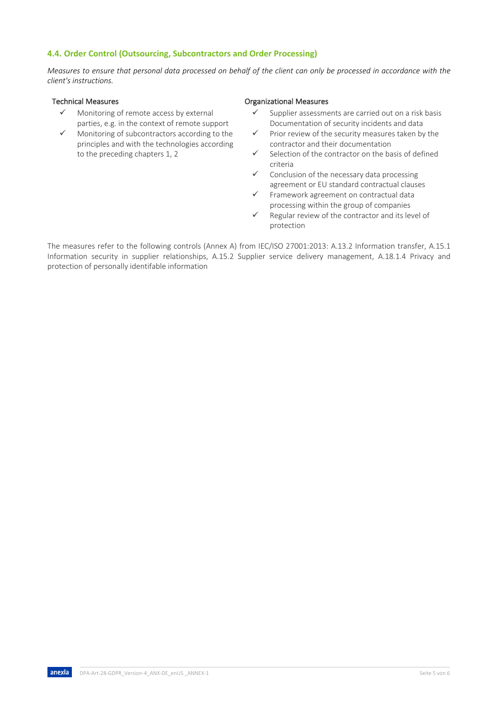# **4.4. Order Control (Outsourcing, Subcontractors and Order Processing)**

*Measures to ensure that personal data processed on behalf of the client can only be processed in accordance with the client's instructions.*

- Monitoring of remote access by external parties, e.g. in the context of remote support
- $\checkmark$  Monitoring of subcontractors according to the principles and with the technologies according to the preceding chapters 1, 2

### Technical Measures **Technical Measures Technical Measures**

- $\checkmark$  Supplier assessments are carried out on a risk basis Documentation of security incidents and data
- $\checkmark$  Prior review of the security measures taken by the contractor and their documentation
- Selection of the contractor on the basis of defined criteria
- Conclusion of the necessary data processing agreement or EU standard contractual clauses
- ü Framework agreement on contractual data processing within the group of companies
- $\checkmark$  Regular review of the contractor and its level of protection

The measures refer to the following controls (Annex A) from IEC/ISO 27001:2013: A.13.2 Information transfer, A.15.1 Information security in supplier relationships, A.15.2 Supplier service delivery management, A.18.1.4 Privacy and protection of personally identifable information